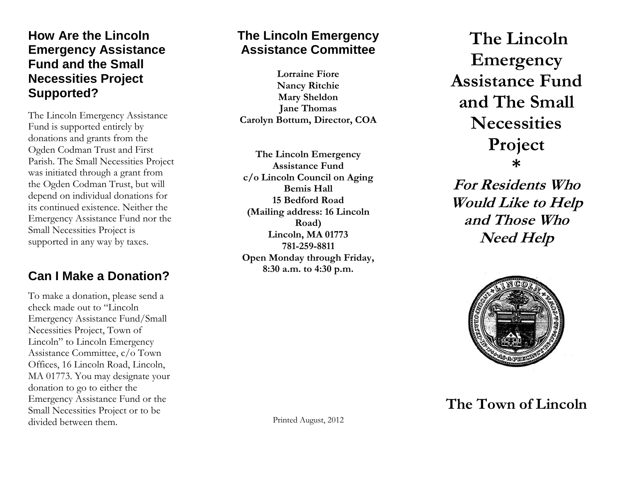#### **How Are the Lincoln Emergency Assistance Fund and the Small Necessities Project Supported?**

The Lincoln Emergency Assistance Fund is supported entirely by donations and grants from the Ogden Codman Trust and First Parish. The Small Necessities Project was initiated through a grant from the Ogden Codman Trust, but will depend on individual donations for its continued existence. Neither the Emergency Assistance Fund nor the Small Necessities Project is supported in any way by taxes.

## **Can I Make a Donation?**

To make a donation, please send a check made out to "Lincoln Emergency Assistance Fund/Small Necessities Project, Town of Lincoln" to Lincoln Emergency Assistance Committee, c/o Town Offices, 16 Lincoln Road, Lincoln, MA 01773. You may designate your donation to go to either the Emergency Assistance Fund or the Small Necessities Project or to be divided between them.

## **The Lincoln Emergency Assistance Committee**

**Lorraine Fiore Nancy Ritchie Mary Sheldon Jane Thomas Carolyn Bottum, Director, COA**

**The Lincoln Emergency Assistance Fund c/o Lincoln Council on Aging Bemis Hall 15 Bedford Road (Mailing address: 16 Lincoln Road) Lincoln, MA 01773 781 -259 -8811 Open Monday through Friday, 8:30 a.m. to 4:30 p.m.**

**The Lincoln Emergency Assistance Fund and The Small Necessities Project \***

**For Residents Who Would Like to Help and Those Who Need Help**



# **The Town of Lincoln**

Printed August, 2012